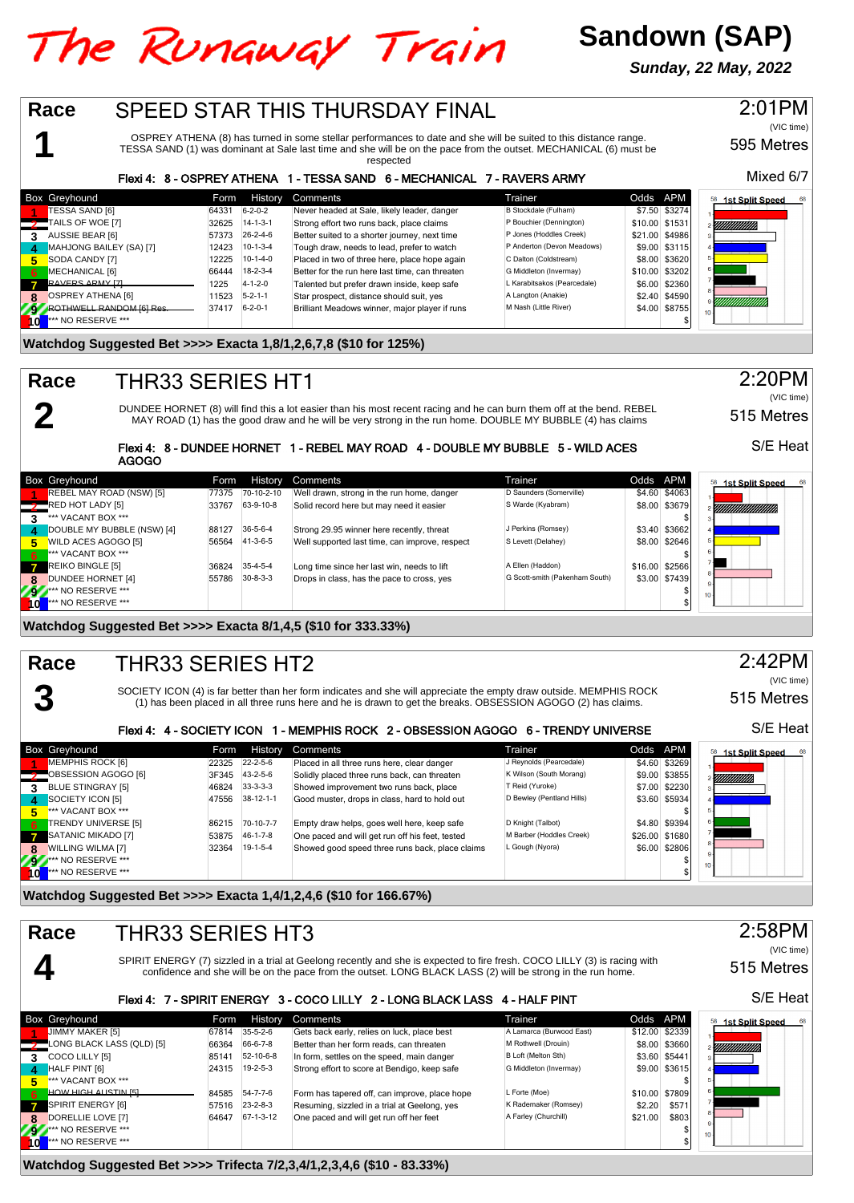# The Runaway Train

# **Sandown (SAP)**

**Sunday, 22 May, 2022**

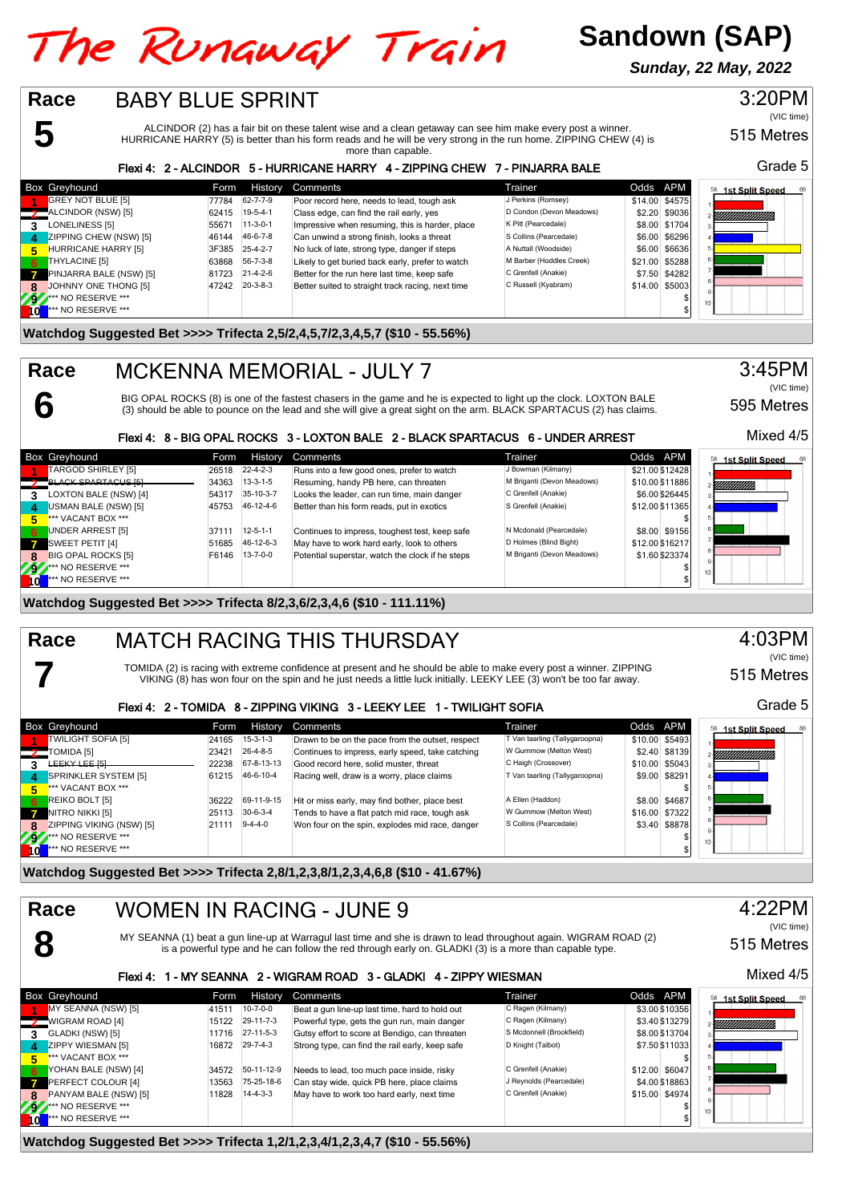# The Runaway Train

**Sandown (SAP)**

**Sunday, 22 May, 2022**

#### 3:20PM **Race** BABY BLUE SPRINT (VIC time) ALCINDOR (2) has a fair bit on these talent wise and a clean getaway can see him make every post a winner. **5** 515 Metres HURRICANE HARRY (5) is better than his form reads and he will be very strong in the run home. ZIPPING CHEW (4) is more than capable. Grade 5 Flexi 4: 2 - ALCINDOR 5 - HURRICANE HARRY 4 - ZIPPING CHEW 7 - PINJARRA BALE Box Greyhound **Form History Comments** Form Society of Trainer Trainer Codds APM<br>**Form Form Form Container Container Container Container Container Applement Codds APM**<br> **Form Form Form Form Codds** APM Density Perkins (Romse **1st Split Speed** 11 GREY NOT BLUE [5] 77784 62-7-7-9 Poor record here, needs to lead, tough ask J Perkins (Romsey) \$14.00 \$4575<br>ALCINDOR (NSW) [5] 62-15 19-5-4-1 Class edge, can find the rail early, yes D Condon (Devon Meadows) \$2.20 \$9036 ALCINDOR (NSW) [5] 62415 19-5-4-1 Class edge, can find the rail early, yes D Condon (Devon Meadows) \$2.20 \$9036<br>**2** ALONELINESS [5] 55671 11-3-0-1 Impressive when resuming, this is harder, place K Pitt (Pearcedale) \$8.00 \$ **138 LONELINESS [5]** 55671 11-3-0-1 Impressive when resuming, this is harder, place K Pitt (Pearcedale) \$8.00 \$1704<br>21 Scollins (Pearcedale) \$6.00 \$6296 A 46-6-7-8 Can unwind a strong finish, looks a threat S Collins (Pear **46144 46-6-7-8** Can unwind a strong finish, looks a threat Collins (Pearcedale) 56.00 \$6296 A Nuttal (Woodside) 56.00 \$6296 A Nuttal (Woodside) 56.00 \$6296 A Nuttal (Woodside) 56.00 \$6636 A Nuttal (Woodside) 56.00 \$6636 A **FIURRICANE HARRY [5]** 3F385 25-4-2-7 No luck of late, strong type, danger if steps A Nuttall (Woodside) \$6.00 \$6636<br>THYLACINE [5] 63868 56-7-3-8 Likely to get buried back early, prefer to watch M Barber (Hoddles Creek) \$2 **FIHYLACINE [5]** 63868 56-7-3-8 Likely to get buried back early, prefer to watch M Barber (Hoddles Creek) \$21.00 \$5288<br>
PINJARRA BALE (NSW) [5] 84282 81.00 \$1723 21-4-2-6 Better for the run here last time, keep safe C Gren **7** PINJARRA BALE (NSW) [5] 81723 21-4-2-6 Better for the run here last time, keep safe C Grenfell (Anakie) \$7.50 \$4282<br>[30] JOHNNY ONE THONG [5] 47242 20-3-8-3 Better suited to straight track racing, next time C Russell ( **8** JOHNNY ONE THONG [5] 47242 20-3-8-3 Better suited to straight track racing, next time C Russell (Kyabram) \$14.00 \$5003 **92.\*\*\*** NO RESERVE \*\*\* \$ **10** \*\*\* NO RESERVE \*\*\* \$

#### **Watchdog Suggested Bet >>>> Trifecta 2,5/2,4,5,7/2,3,4,5,7 (\$10 - 55.56%)**

#### MCKENNA MEMORIAL - JULY 7 **Race**

**6**

**7**

BIG OPAL ROCKS (8) is one of the fastest chasers in the game and he is expected to light up the clock. LOXTON BALE (3) should be able to pounce on the lead and she will give a great sight on the arm. BLACK SPARTACUS (2) has claims.

#### Flexi 4: 8 - BIG OPAL ROCKS 3 - LOXTON BALE 2 - BLACK SPARTACUS 6 - UNDER ARREST

|              | <b>Box Greyhound</b>       | Form  | <b>History</b>   | Comments                                         | Trainer                    | Odds APM        | 58<br>1st Split Speed |
|--------------|----------------------------|-------|------------------|--------------------------------------------------|----------------------------|-----------------|-----------------------|
|              | TARGOD SHIRLEY [5]         | 26518 | $22 - 4 - 2 - 3$ | Runs into a few good ones, prefer to watch       | J Bowman (Kilmany)         | \$21.00 \$12428 |                       |
|              | <b>BLACK SPARTACUS ISL</b> | 34363 | $13-3-1-5$       | Resuming, handy PB here, can threaten            | M Briganti (Devon Meadows) | \$10.00 \$11886 | YMMMM).               |
|              | LOXTON BALE (NSW) [4]      | 54317 | 35-10-3-7        | Looks the leader, can run time, main danger      | C Grenfell (Anakie)        | \$6.00 \$26445  |                       |
| -4           | USMAN BALE (NSW) [5]       | 45753 | 46-12-4-6        | Better than his form reads, put in exotics       | S Grenfell (Anakie)        | \$12.00 \$11365 |                       |
| 5.           | *** VACANT BOX ***         |       |                  |                                                  |                            |                 |                       |
| 6            | UNDER ARREST [5]           | 37111 | $12 - 5 - 1 - 1$ | Continues to impress, toughest test, keep safe   | N Mcdonald (Pearcedale)    | \$8.00 \$9156   |                       |
| $\mathbf{z}$ | SWEET PETIT [4]            | 51685 | 46-12-6-3        | May have to work hard early, look to others      | D Holmes (Blind Bight)     | \$12.00 \$16217 |                       |
|              | <b>BIG OPAL ROCKS [5]</b>  | F6146 | $13 - 7 - 0 - 0$ | Potential superstar, watch the clock if he steps | M Briganti (Devon Meadows) | \$1.60 \$23374  |                       |
| 797          | *** NO RESERVE ***         |       |                  |                                                  |                            |                 |                       |
| $\mathbf{0}$ | <b>*** NO RESERVE ***</b>  |       |                  |                                                  |                            |                 |                       |

## **Watchdog Suggested Bet >>>> Trifecta 8/2,3,6/2,3,4,6 (\$10 - 111.11%)**

#### MATCH RACING THIS THURSDAY **Race**

TOMIDA (2) is racing with extreme confidence at present and he should be able to make every post a winner. ZIPPING VIKING (8) has won four on the spin and he just needs a little luck initially. LEEKY LEE (3) won't be too far away.

#### Flexi 4: 2 - TOMIDA 8 - ZIPPING VIKING 3 - LEEKY LEE 1 - TWILIGHT SOFIA

|                  | <b>Box Greyhound</b>        | Form  | History    | <b>Comments</b>                                  | Trainer                        | Odds APM |                | <b>1st Split Speed</b><br>68 |
|------------------|-----------------------------|-------|------------|--------------------------------------------------|--------------------------------|----------|----------------|------------------------------|
|                  | TWILIGHT SOFIA [5]          | 24165 | $15-3-1-3$ | Drawn to be on the pace from the outset, respect | T Van taarling (Tallygaroopna) |          | \$10.00 \$5493 |                              |
|                  | TOMIDA [5]                  | 23421 | 26-4-8-5   | Continues to impress, early speed, take catching | W Gummow (Melton West)         |          | \$2.40 \$8139  | !!!!!!!!!!!!!!!!!!           |
|                  | <b><i>FEEKA FEE 121</i></b> | 22238 | 67-8-13-13 | Good record here, solid muster, threat           | C Haigh (Crossover)            |          | \$10.00 \$5043 |                              |
| $\boldsymbol{A}$ | SPRINKLER SYSTEM [5]        | 61215 | 46-6-10-4  | Racing well, draw is a worry, place claims       | T Van taarling (Tallygaroopna) |          | \$9.00 \$8291  |                              |
| 5.               | *** VACANT BOX ***          |       |            |                                                  |                                |          |                |                              |
| -6               | REIKO BOLT [5]              | 36222 | 69-11-9-15 | Hit or miss early, may find bother, place best   | A Ellen (Haddon)               |          | \$8.00 \$4687  |                              |
| $\overline{7}$   | NITRO NIKKI [5]             | 25113 | $30-6-3-4$ | Tends to have a flat patch mid race, tough ask   | W Gummow (Melton West)         |          | \$16.00 \$7322 |                              |
| 8                | ZIPPING VIKING (NSW) [5]    | 21111 | $9-4-4-0$  | Won four on the spin, explodes mid race, danger  | S Collins (Pearcedale)         |          | \$3.40 \$8878  |                              |
| 292              | *** NO RESERVE ***          |       |            |                                                  |                                |          |                | 10 <sub>1</sub>              |
|                  | *** NO RESERVE ***          |       |            |                                                  |                                |          |                |                              |

**Watchdog Suggested Bet >>>> Trifecta 2,8/1,2,3,8/1,2,3,4,6,8 (\$10 - 41.67%)**

#### WOMEN IN RACING - JUNE 9 **Race** 4:22PM (VIC time) **8** MY SEANNA (1) beat a gun line-up at Warragul last time and she is drawn to lead throughout again. WIGRAM ROAD (2) 515 Metres is a powerful type and he can follow the red through early on. GLADKI (3) is a more than capable type. Mixed 4/5 Flexi 4: 1 - MY SEANNA 2 - WIGRAM ROAD 3 - GLADKI 4 - ZIPPY WIESMAN Box Greyhound **Form History Comments** Comments Trainer Trainer Codds APM Comments Codds APM<br>A MY SEANNA (NSW) ISI THE 1974-01 Beat a gun line-up last time. hard to hold out C Ragen (Kilmany) S3,00 \$10356 **1st Split Speed 11 MY SEANNA (NSW) [5] 41511 10-7-0-0 Beat a gun line-up last time, hard to hold out C Ragen (Kilmany) \$3.00 \$10356<br>MIGRAM ROAD [4] 15122 29-11-7-3 Powerful type, gets the gun run, main danger C Ragen (Kilmany) \$3.40 \$132** WIGRAM ROAD [4] 15122 29-11-7-3 Powerful type, gets the gun run, main danger C Ragen (Kilmany) **\$3.40 \$13279 11216**<br>**211116** 27-11-5-3 Gutsy effort to score at Bendigo, can threaten S Mcdonnell (Brookfield) \$8.00 \$13704 <u>mmms</u> **3** GLADKI (NSW) [5] 11716 27-11-5-3 Gutsy effort to score at Bendigo, can threaten S Mcdonnell (Brookfield) \$8.00 \$13704 **4** ZIPPY WIESMAN [5] 16872 29-7-4-3 Strong type, can find the rail early, keep safe **A** Knight (Talbot) **\$7.50 \$11033333334 \$7.50 \$1103334 \$7.50 \$1103334 \$1103334 \$1103334 \$1103334 \$110334 \$110334 \$110334 \$110334 \$110334 Contract Contract 5** \*\*\* VACANT BOX \*\*\* \$ **66 YOHAN BALE (NSW) [4] 34572 50-11-12-9 Needs to lead, too much pace inside, risky C Grenfell (Anakie) \$12.00 \$6047<br>PERFECT COLOUR [4] 13563 75-25-18-6 Can stay wide, quick PB here, place claims J Reynolds (Pearcedale) \$ PERFECT COLOUR [4]** 13563 75-25-18-6 Can stay wide, quick PB here, place claims J Reynolds (Pearcedale) \$4.00 \$18863<br> **PANYAM BALE (NSW) [5] 11828 14-4-3-3** May have to work too hard early, next time C Grenfell (Anakie) \$ **PANYAM BALE (NSW) [5] 11828 14-4-3-3 May have to work too hard early, next time <b>COREC CORES COREC (ANALIE)** \$15.00 \$4974.00 \$4974.00 \$4974.00 \$4974.00 \$4974.00 \$4974.00 \$4974.00 \$4974.00 \$4974.00 \$4974.00 \$4974.00 \$497 **9 \*\*\*** NO RESERVE \*\*\* \$ **10** \*\*\* NO RESERVE \*\*\* \$

**Watchdog Suggested Bet >>>> Trifecta 1,2/1,2,3,4/1,2,3,4,7 (\$10 - 55.56%)**

# Mixed 4/5

595 Metres

3:45PM

(VIC time)





Grade 5

515 Metres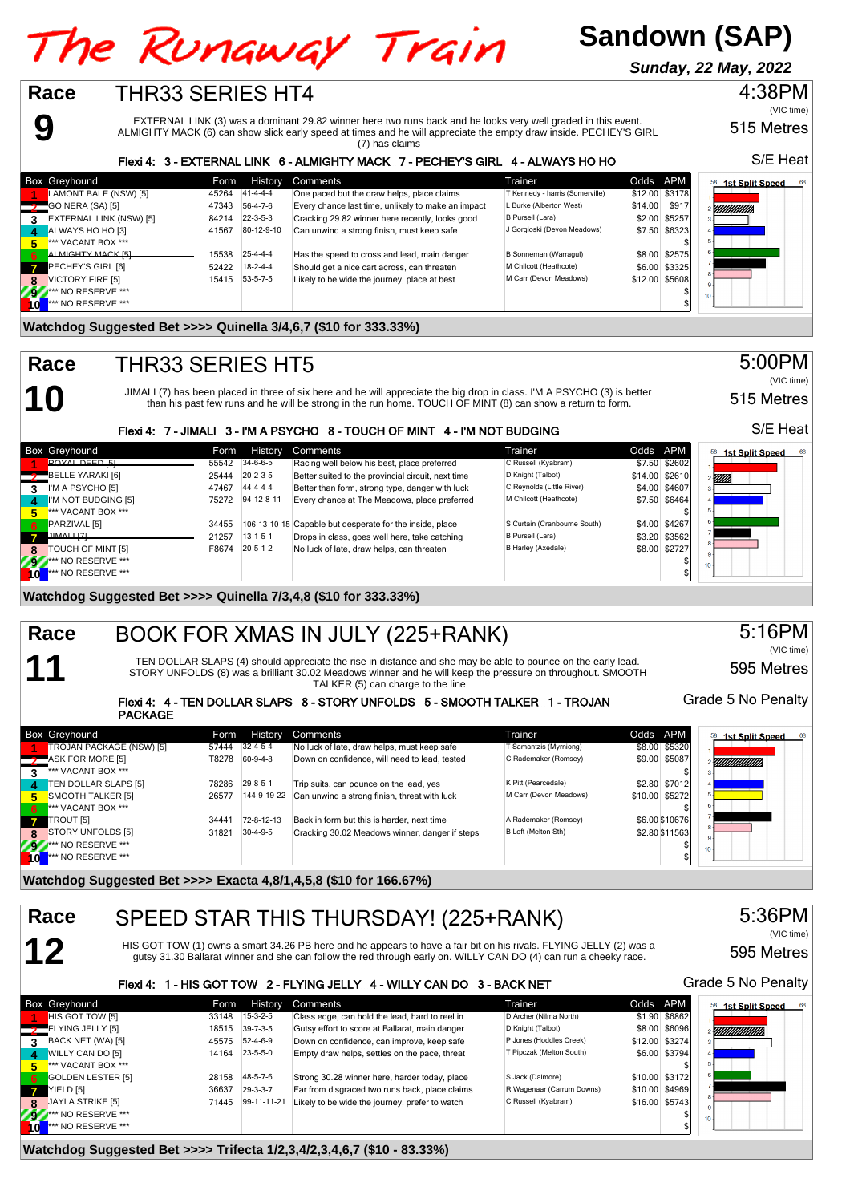**Sandown (SAP)**

4:38PM **Sunday, 22 May, 2022**



595 Metres

#### Flexi 4: 4 - TEN DOLLAR SLAPS 8 - STORY UNFOLDS 5 - SMOOTH TALKER 1 - TROJAN PACKAGE

|              | <b>Box Greyhound</b>      | Form  | <b>History</b>   | Comments                                       | Trainer                | Odds APM |                | 68<br><b>1st Split Speed</b><br>58 |
|--------------|---------------------------|-------|------------------|------------------------------------------------|------------------------|----------|----------------|------------------------------------|
|              | TROJAN PACKAGE (NSW) [5]  | 57444 | $32 - 4 - 5 - 4$ | No luck of late, draw helps, must keep safe    | T Samantzis (Myrniong) |          | \$8.00 \$5320  |                                    |
|              | ASK FOR MORE [5]          | T8278 | 60-9-4-8         | Down on confidence, will need to lead, tested  | C Rademaker (Romsey)   |          | \$9.00 \$5087  | YMMMMM),                           |
|              | *** VACANT BOX ***        |       |                  |                                                |                        |          |                |                                    |
|              | TEN DOLLAR SLAPS [5]      | 78286 | $29 - 8 - 5 - 1$ | Trip suits, can pounce on the lead, yes        | K Pitt (Pearcedale)    |          | \$2.80 \$7012  |                                    |
| 5.           | SMOOTH TALKER [5]         | 26577 | 144-9-19-22      | Can unwind a strong finish, threat with luck   | M Carr (Devon Meadows) |          | \$10.00 \$5272 |                                    |
| 6            | *** VACANT BOX ***        |       |                  |                                                |                        |          |                |                                    |
|              | TROUT [5]                 | 34441 | 72-8-12-13       | Back in form but this is harder, next time     | A Rademaker (Romsey)   |          | \$6,00 \$10676 |                                    |
|              | STORY UNFOLDS [5]         | 31821 | $30-4-9-5$       | Cracking 30.02 Meadows winner, danger if steps | B Loft (Melton Sth)    |          | \$2.80 \$11563 |                                    |
| 27           | <b>*** NO RESERVE ***</b> |       |                  |                                                |                        |          |                |                                    |
| $\mathbf{0}$ | *** NO RESERVE ***        |       |                  |                                                |                        |          |                |                                    |

**Watchdog Suggested Bet >>>> Exacta 4,8/1,4,5,8 (\$10 for 166.67%)**

**12**

#### SPEED STAR THIS THURSDAY! (225+RANK) **Race**

HIS GOT TOW (1) owns a smart 34.26 PB here and he appears to have a fair bit on his rivals. FLYING JELLY (2) was a gutsy 31.30 Ballarat winner and she can follow the red through early on. WILLY CAN DO (4) can run a cheeky race.

### Flexi 4: 1 - HIS GOT TOW 2 - FLYING JELLY 4 - WILLY CAN DO 3 - BACK NET

|           | Box Greyhound             | Form  | History          | Comments                                       | Trainer                   | Odds APM       |                | <b>1st Split Speed</b> |
|-----------|---------------------------|-------|------------------|------------------------------------------------|---------------------------|----------------|----------------|------------------------|
|           | HIS GOT TOW [5]           | 33148 | $15-3-2-5$       | Class edge, can hold the lead, hard to reel in | D Archer (Nilma North)    |                | \$1.90 \$6862  |                        |
|           | FLYING JELLY [5]          | 18515 | $39 - 7 - 3 - 5$ | Gutsy effort to score at Ballarat, main danger | D Knight (Talbot)         |                | \$8.00 \$6096  | YMMMMM.                |
| 3.        | BACK NET (WA) [5]         | 45575 | $52 - 4 - 6 - 9$ | Down on confidence, can improve, keep safe     | P Jones (Hoddles Creek)   | \$12.00 \$3274 |                |                        |
|           | WILLY CAN DO [5]          | 14164 | $23 - 5 - 5 - 0$ | Empty draw helps, settles on the pace, threat  | T Pipczak (Melton South)  |                | \$6.00 \$3794  |                        |
| 5.        | *** VACANT BOX ***        |       |                  |                                                |                           |                |                |                        |
| 6.        | GOLDEN LESTER [5]         | 28158 | 48-5-7-6         | Strong 30.28 winner here, harder today, place  | S Jack (Dalmore)          |                | \$10.00 \$3172 |                        |
|           | YIELD [5]                 | 36637 | $29 - 3 - 3 - 7$ | Far from disgraced two runs back, place claims | R Wagenaar (Carrum Downs) | \$10.00 \$4969 |                |                        |
| 8         | JAYLA STRIKE [5]          | 71445 | 99-11-11-21      | Likely to be wide the journey, prefer to watch | C Russell (Kyabram)       | \$16.00 \$5743 |                |                        |
| <b>AV</b> | <b>At AND RESERVE ***</b> |       |                  |                                                |                           |                |                | 10 <sub>10</sub>       |
|           | <b>*** NO RESERVE ***</b> |       |                  |                                                |                           |                |                |                        |

#### **Watchdog Suggested Bet >>>> Trifecta 1/2,3,4/2,3,4,6,7 (\$10 - 83.33%)**

S/E Heat

(VIC time)

515 Metres



515 Metres

**1st Split Speed** 

S/E Heat

5:00PM

(VIC time)

### Grade 5 No Penalty

595 Metres

5:36PM

(VIC time)

Grade 5 No Penalty

5:16PM

(VIC time)